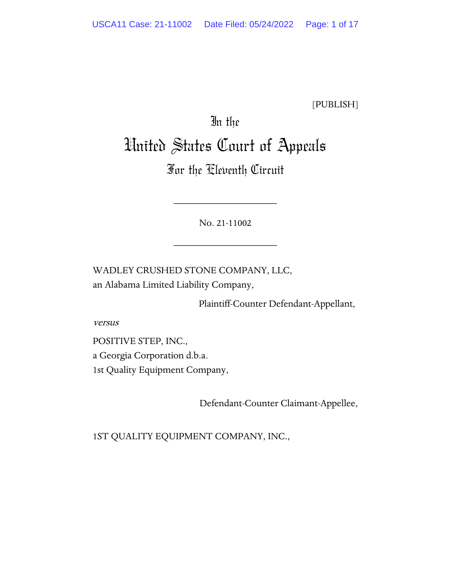[PUBLISH]

# In the United States Court of Appeals

# For the Eleventh Circuit

No. 21-11002

\_\_\_\_\_\_\_\_\_\_\_\_\_\_\_\_\_\_\_\_

\_\_\_\_\_\_\_\_\_\_\_\_\_\_\_\_\_\_\_\_

WADLEY CRUSHED STONE COMPANY, LLC, an Alabama Limited Liability Company,

Plaintiff-Counter Defendant-Appellant,

versus

POSITIVE STEP, INC., a Georgia Corporation d.b.a. 1st Quality Equipment Company,

Defendant-Counter Claimant-Appellee,

1ST QUALITY EQUIPMENT COMPANY, INC.,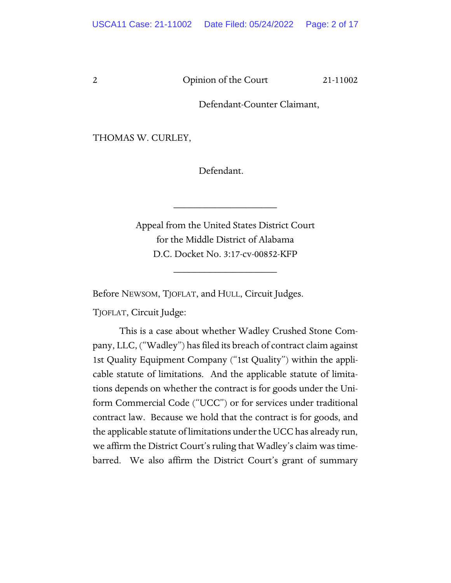Defendant-Counter Claimant,

THOMAS W. CURLEY,

Defendant.

Appeal from the United States District Court for the Middle District of Alabama D.C. Docket No. 3:17-cv-00852-KFP

\_\_\_\_\_\_\_\_\_\_\_\_\_\_\_\_\_\_\_\_

\_\_\_\_\_\_\_\_\_\_\_\_\_\_\_\_\_\_\_\_

Before NEWSOM, TJOFLAT, and HULL, Circuit Judges.

TJOFLAT, Circuit Judge:

This is a case about whether Wadley Crushed Stone Company, LLC, ("Wadley") has filed its breach of contract claim against 1st Quality Equipment Company ("1st Quality") within the applicable statute of limitations. And the applicable statute of limitations depends on whether the contract is for goods under the Uniform Commercial Code ("UCC") or for services under traditional contract law. Because we hold that the contract is for goods, and the applicable statute of limitations under the UCC has already run, we affirm the District Court's ruling that Wadley's claim was timebarred. We also affirm the District Court's grant of summary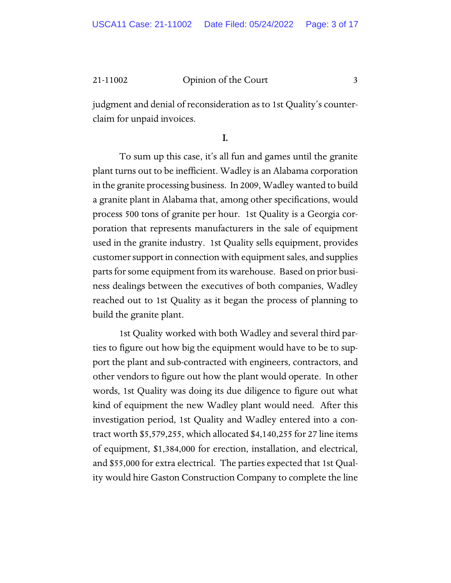judgment and denial of reconsideration as to 1st Quality's counterclaim for unpaid invoices.

I.

To sum up this case, it's all fun and games until the granite plant turns out to be inefficient. Wadley is an Alabama corporation in the granite processing business. In 2009, Wadley wanted to build a granite plant in Alabama that, among other specifications, would process 500 tons of granite per hour. 1st Quality is a Georgia corporation that represents manufacturers in the sale of equipment used in the granite industry. 1st Quality sells equipment, provides customer support in connection with equipment sales, and supplies parts for some equipment from its warehouse. Based on prior business dealings between the executives of both companies, Wadley reached out to 1st Quality as it began the process of planning to build the granite plant.

1st Quality worked with both Wadley and several third parties to figure out how big the equipment would have to be to support the plant and sub-contracted with engineers, contractors, and other vendors to figure out how the plant would operate. In other words, 1st Quality was doing its due diligence to figure out what kind of equipment the new Wadley plant would need. After this investigation period, 1st Quality and Wadley entered into a contract worth \$5,579,255, which allocated \$4,140,255 for 27 line items of equipment, \$1,384,000 for erection, installation, and electrical, and \$55,000 for extra electrical. The parties expected that 1st Quality would hire Gaston Construction Company to complete the line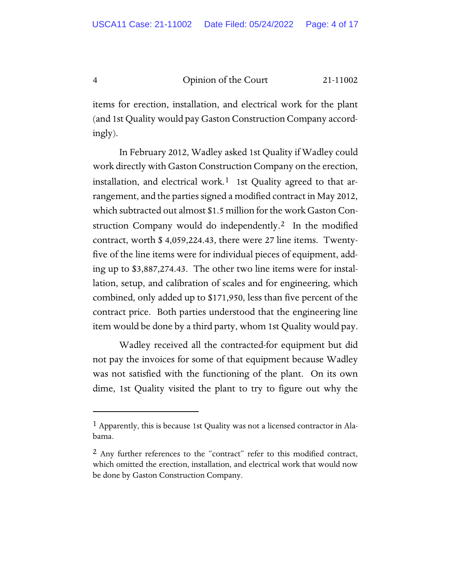items for erection, installation, and electrical work for the plant (and 1st Quality would pay Gaston Construction Company accordingly).

In February 2012, Wadley asked 1st Quality if Wadley could work directly with Gaston Construction Company on the erection, installation, and electrical work.<sup>[1](#page-3-0)</sup> 1st Quality agreed to that arrangement, and the parties signed a modified contract in May 2012, which subtracted out almost \$1.5 million for the work Gaston Con-struction Company would do independently.<sup>[2](#page-3-1)</sup> In the modified contract, worth \$ 4,059,224.43, there were 27 line items. Twentyfive of the line items were for individual pieces of equipment, adding up to \$3,887,274.43. The other two line items were for installation, setup, and calibration of scales and for engineering, which combined, only added up to \$171,950, less than five percent of the contract price. Both parties understood that the engineering line item would be done by a third party, whom 1st Quality would pay.

Wadley received all the contracted-for equipment but did not pay the invoices for some of that equipment because Wadley was not satisfied with the functioning of the plant. On its own dime, 1st Quality visited the plant to try to figure out why the

<span id="page-3-0"></span><sup>1</sup> Apparently, this is because 1st Quality was not a licensed contractor in Alabama.

<span id="page-3-1"></span><sup>2</sup> Any further references to the "contract" refer to this modified contract, which omitted the erection, installation, and electrical work that would now be done by Gaston Construction Company.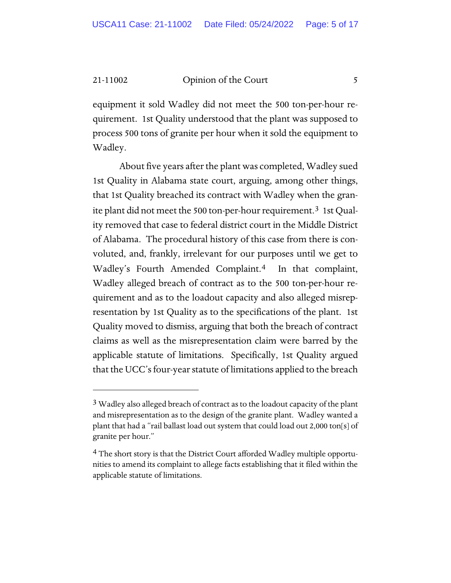equipment it sold Wadley did not meet the 500 ton-per-hour requirement. 1st Quality understood that the plant was supposed to process 500 tons of granite per hour when it sold the equipment to Wadley.

About five years after the plant was completed, Wadley sued 1st Quality in Alabama state court, arguing, among other things, that 1st Quality breached its contract with Wadley when the granite plant did not meet the 500 ton-per-hour requirement.[3](#page-4-0) 1st Quality removed that case to federal district court in the Middle District of Alabama. The procedural history of this case from there is convoluted, and, frankly, irrelevant for our purposes until we get to Wadley's Fourth Amended Complaint.<sup>4</sup> In that complaint, Wadley alleged breach of contract as to the 500 ton-per-hour requirement and as to the loadout capacity and also alleged misrepresentation by 1st Quality as to the specifications of the plant. 1st Quality moved to dismiss, arguing that both the breach of contract claims as well as the misrepresentation claim were barred by the applicable statute of limitations. Specifically, 1st Quality argued that the UCC's four-year statute of limitations applied to the breach

<span id="page-4-0"></span> $3$  Wadley also alleged breach of contract as to the loadout capacity of the plant and misrepresentation as to the design of the granite plant. Wadley wanted a plant that had a "rail ballast load out system that could load out 2,000 ton[s] of granite per hour."

<span id="page-4-1"></span><sup>&</sup>lt;sup>4</sup> The short story is that the District Court afforded Wadley multiple opportunities to amend its complaint to allege facts establishing that it filed within the applicable statute of limitations.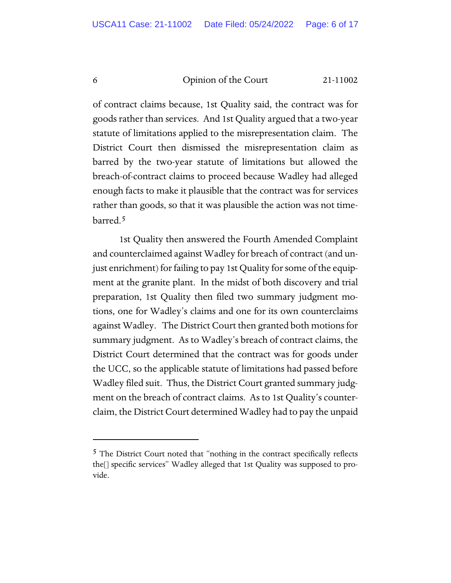of contract claims because, 1st Quality said, the contract was for goods rather than services. And 1st Quality argued that a two-year statute of limitations applied to the misrepresentation claim. The District Court then dismissed the misrepresentation claim as barred by the two-year statute of limitations but allowed the breach-of-contract claims to proceed because Wadley had alleged enough facts to make it plausible that the contract was for services rather than goods, so that it was plausible the action was not timebarred.[5](#page-5-0)

1st Quality then answered the Fourth Amended Complaint and counterclaimed against Wadley for breach of contract (and unjust enrichment) for failing to pay 1st Quality for some of the equipment at the granite plant. In the midst of both discovery and trial preparation, 1st Quality then filed two summary judgment motions, one for Wadley's claims and one for its own counterclaims against Wadley. The District Court then granted both motions for summary judgment. As to Wadley's breach of contract claims, the District Court determined that the contract was for goods under the UCC, so the applicable statute of limitations had passed before Wadley filed suit. Thus, the District Court granted summary judgment on the breach of contract claims. As to 1st Quality's counterclaim, the District Court determined Wadley had to pay the unpaid

<span id="page-5-0"></span><sup>&</sup>lt;sup>5</sup> The District Court noted that "nothing in the contract specifically reflects the[] specific services" Wadley alleged that 1st Quality was supposed to provide.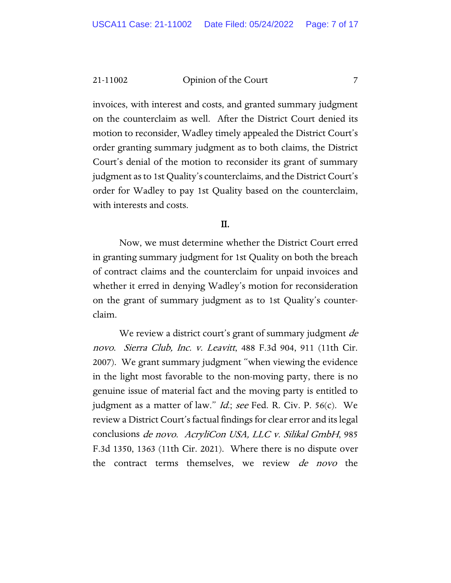invoices, with interest and costs, and granted summary judgment on the counterclaim as well. After the District Court denied its motion to reconsider, Wadley timely appealed the District Court's order granting summary judgment as to both claims, the District Court's denial of the motion to reconsider its grant of summary judgment as to 1st Quality's counterclaims, and the District Court's order for Wadley to pay 1st Quality based on the counterclaim, with interests and costs.

#### II.

Now, we must determine whether the District Court erred in granting summary judgment for 1st Quality on both the breach of contract claims and the counterclaim for unpaid invoices and whether it erred in denying Wadley's motion for reconsideration on the grant of summary judgment as to 1st Quality's counterclaim.

We review a district court's grant of summary judgment *de* novo. Sierra Club, Inc. v. Leavitt, 488 F.3d 904, 911 (11th Cir. 2007). We grant summary judgment "when viewing the evidence in the light most favorable to the non-moving party, there is no genuine issue of material fact and the moving party is entitled to judgment as a matter of law." *Id.*; see Fed. R. Civ. P. 56(c). We review a District Court's factual findings for clear error and its legal conclusions de novo. AcryliCon USA, LLC v. Silikal GmbH, 985 F.3d 1350, 1363 (11th Cir. 2021). Where there is no dispute over the contract terms themselves, we review *de novo* the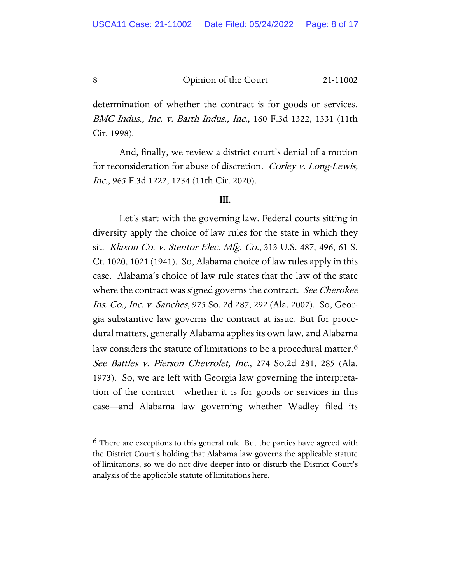determination of whether the contract is for goods or services. BMC Indus., Inc. v. Barth Indus., Inc., 160 F.3d 1322, 1331 (11th Cir. 1998).

And, finally, we review a district court's denial of a motion for reconsideration for abuse of discretion. Corley v. Long-Lewis, Inc., 965 F.3d 1222, 1234 (11th Cir. 2020).

#### III.

Let's start with the governing law. Federal courts sitting in diversity apply the choice of law rules for the state in which they sit. Klaxon Co. v. Stentor Elec. Mfg. Co., 313 U.S. 487, 496, 61 S. Ct. 1020, 1021 (1941). So, Alabama choice of law rules apply in this case. Alabama's choice of law rule states that the law of the state where the contract was signed governs the contract. See Cherokee Ins. Co., Inc. v. Sanches, 975 So. 2d 287, 292 (Ala. 2007). So, Georgia substantive law governs the contract at issue. But for procedural matters, generally Alabama applies its own law, and Alabama law considers the statute of limitations to be a procedural matter.<sup>[6](#page-7-0)</sup> See Battles v. Pierson Chevrolet, Inc., 274 So.2d 281, 285 (Ala. 1973). So, we are left with Georgia law governing the interpretation of the contract—whether it is for goods or services in this case—and Alabama law governing whether Wadley filed its

<span id="page-7-0"></span><sup>6</sup> There are exceptions to this general rule. But the parties have agreed with the District Court's holding that Alabama law governs the applicable statute of limitations, so we do not dive deeper into or disturb the District Court's analysis of the applicable statute of limitations here.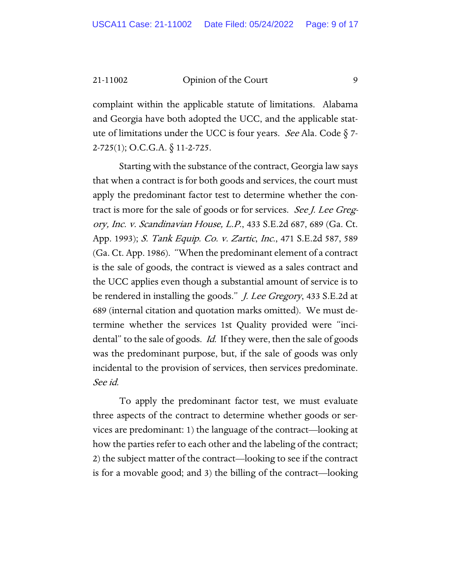complaint within the applicable statute of limitations. Alabama and Georgia have both adopted the UCC, and the applicable statute of limitations under the UCC is four years. See Ala. Code  $\S$  7-2-725(1); O.C.G.A. § 11-2-725.

Starting with the substance of the contract, Georgia law says that when a contract is for both goods and services, the court must apply the predominant factor test to determine whether the contract is more for the sale of goods or for services. See J. Lee Gregory, Inc. v. Scandinavian House, L.P., 433 S.E.2d 687, 689 (Ga. Ct. App. 1993); S. Tank Equip. Co. v. Zartic, Inc., 471 S.E.2d 587, 589 (Ga. Ct. App. 1986). "When the predominant element of a contract is the sale of goods, the contract is viewed as a sales contract and the UCC applies even though a substantial amount of service is to be rendered in installing the goods." *J. Lee Gregory*, 433 S.E.2d at 689 (internal citation and quotation marks omitted). We must determine whether the services 1st Quality provided were "incidental" to the sale of goods. Id. If they were, then the sale of goods was the predominant purpose, but, if the sale of goods was only incidental to the provision of services, then services predominate. See id.

To apply the predominant factor test, we must evaluate three aspects of the contract to determine whether goods or services are predominant: 1) the language of the contract—looking at how the parties refer to each other and the labeling of the contract; 2) the subject matter of the contract—looking to see if the contract is for a movable good; and 3) the billing of the contract—looking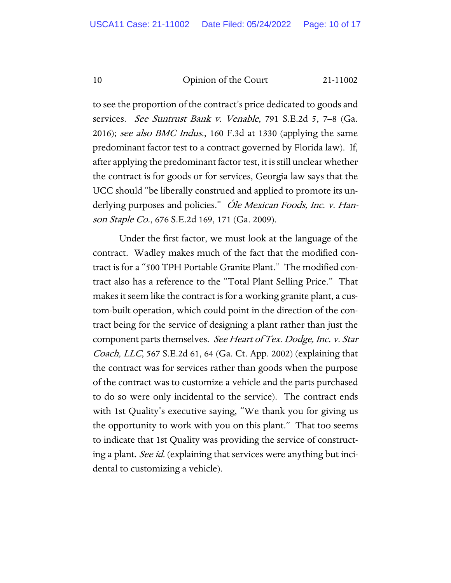to see the proportion of the contract's price dedicated to goods and services. See Suntrust Bank v. Venable, 791 S.E.2d 5, 7–8 (Ga. 2016); see also BMC Indus., 160 F.3d at 1330 (applying the same predominant factor test to a contract governed by Florida law). If, after applying the predominant factor test, it is still unclear whether the contract is for goods or for services, Georgia law says that the UCC should "be liberally construed and applied to promote its underlying purposes and policies." Óle Mexican Foods, Inc. v. Hanson Staple Co., 676 S.E.2d 169, 171 (Ga. 2009).

Under the first factor, we must look at the language of the contract. Wadley makes much of the fact that the modified contract is for a "500 TPH Portable Granite Plant." The modified contract also has a reference to the "Total Plant Selling Price." That makes it seem like the contract is for a working granite plant, a custom-built operation, which could point in the direction of the contract being for the service of designing a plant rather than just the component parts themselves. See Heart of Tex. Dodge, Inc. v. Star Coach, LLC, 567 S.E.2d 61, 64 (Ga. Ct. App. 2002) (explaining that the contract was for services rather than goods when the purpose of the contract was to customize a vehicle and the parts purchased to do so were only incidental to the service). The contract ends with 1st Quality's executive saying, "We thank you for giving us the opportunity to work with you on this plant." That too seems to indicate that 1st Quality was providing the service of constructing a plant. See id. (explaining that services were anything but incidental to customizing a vehicle).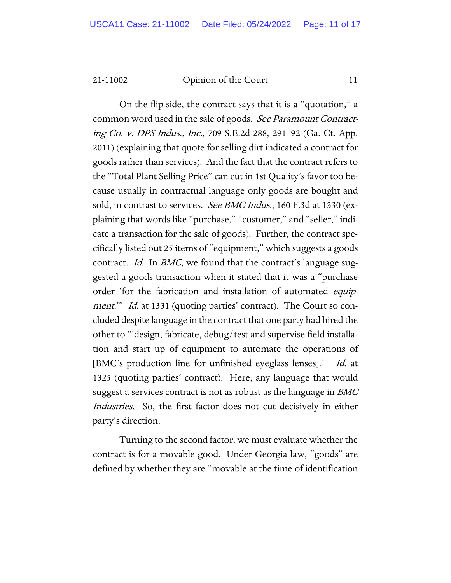On the flip side, the contract says that it is a "quotation," a common word used in the sale of goods. See Paramount Contracting Co. v. DPS Indus., Inc., 709 S.E.2d 288, 291–92 (Ga. Ct. App. 2011) (explaining that quote for selling dirt indicated a contract for goods rather than services). And the fact that the contract refers to the "Total Plant Selling Price" can cut in 1st Quality's favor too because usually in contractual language only goods are bought and sold, in contrast to services. See BMC Indus., 160 F.3d at 1330 (explaining that words like "purchase," "customer," and "seller," indicate a transaction for the sale of goods). Further, the contract specifically listed out 25 items of "equipment," which suggests a goods contract. *Id.* In *BMC*, we found that the contract's language suggested a goods transaction when it stated that it was a "purchase order 'for the fabrication and installation of automated equipment." Id. at 1331 (quoting parties' contract). The Court so concluded despite language in the contract that one party had hired the other to "'design, fabricate, debug/test and supervise field installation and start up of equipment to automate the operations of [BMC's production line for unfinished eyeglass lenses]." Id. at 1325 (quoting parties' contract). Here, any language that would suggest a services contract is not as robust as the language in BMC Industries. So, the first factor does not cut decisively in either party's direction.

Turning to the second factor, we must evaluate whether the contract is for a movable good. Under Georgia law, "goods" are defined by whether they are "movable at the time of identification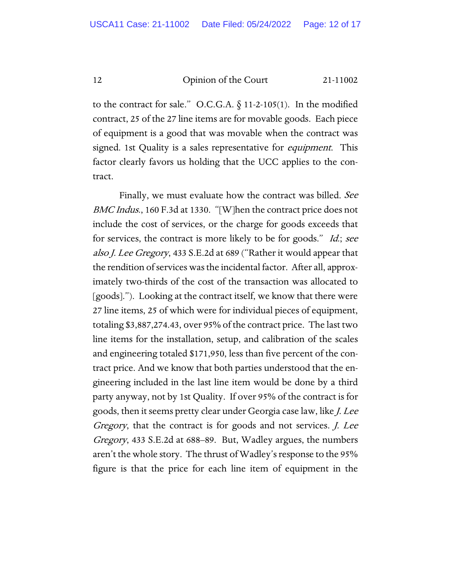to the contract for sale." O.C.G.A.  $\S$  11-2-105(1). In the modified contract, 25 of the 27 line items are for movable goods. Each piece of equipment is a good that was movable when the contract was signed. 1st Quality is a sales representative for *equipment*. This factor clearly favors us holding that the UCC applies to the contract.

Finally, we must evaluate how the contract was billed. See BMC Indus., 160 F.3d at 1330. "[W]hen the contract price does not include the cost of services, or the charge for goods exceeds that for services, the contract is more likely to be for goods." Id.; see also J. Lee Gregory, 433 S.E.2d at 689 ("Rather it would appear that the rendition of services was the incidental factor. After all, approximately two-thirds of the cost of the transaction was allocated to [goods]."). Looking at the contract itself, we know that there were 27 line items, 25 of which were for individual pieces of equipment, totaling \$3,887,274.43, over 95% of the contract price. The last two line items for the installation, setup, and calibration of the scales and engineering totaled \$171,950, less than five percent of the contract price. And we know that both parties understood that the engineering included in the last line item would be done by a third party anyway, not by 1st Quality. If over 95% of the contract is for goods, then it seems pretty clear under Georgia case law, like J. Lee Gregory, that the contract is for goods and not services. J. Lee Gregory, 433 S.E.2d at 688–89. But, Wadley argues, the numbers aren't the whole story. The thrust of Wadley's response to the 95% figure is that the price for each line item of equipment in the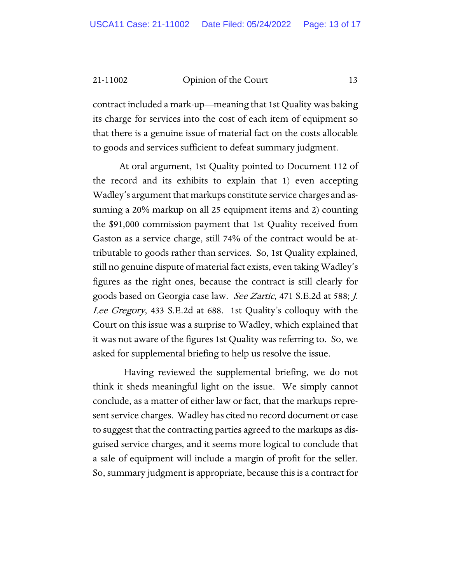contract included a mark-up—meaning that 1st Quality was baking its charge for services into the cost of each item of equipment so that there is a genuine issue of material fact on the costs allocable to goods and services sufficient to defeat summary judgment.

At oral argument, 1st Quality pointed to Document 112 of the record and its exhibits to explain that 1) even accepting Wadley's argument that markups constitute service charges and assuming a 20% markup on all 25 equipment items and 2) counting the \$91,000 commission payment that 1st Quality received from Gaston as a service charge, still 74% of the contract would be attributable to goods rather than services. So, 1st Quality explained, still no genuine dispute of material fact exists, even taking Wadley's figures as the right ones, because the contract is still clearly for goods based on Georgia case law. See Zartic, 471 S.E.2d at 588; J. Lee Gregory, 433 S.E.2d at 688. 1st Quality's colloquy with the Court on this issue was a surprise to Wadley, which explained that it was not aware of the figures 1st Quality was referring to. So, we asked for supplemental briefing to help us resolve the issue.

Having reviewed the supplemental briefing, we do not think it sheds meaningful light on the issue. We simply cannot conclude, as a matter of either law or fact, that the markups represent service charges. Wadley has cited no record document or case to suggest that the contracting parties agreed to the markups as disguised service charges, and it seems more logical to conclude that a sale of equipment will include a margin of profit for the seller. So, summary judgment is appropriate, because this is a contract for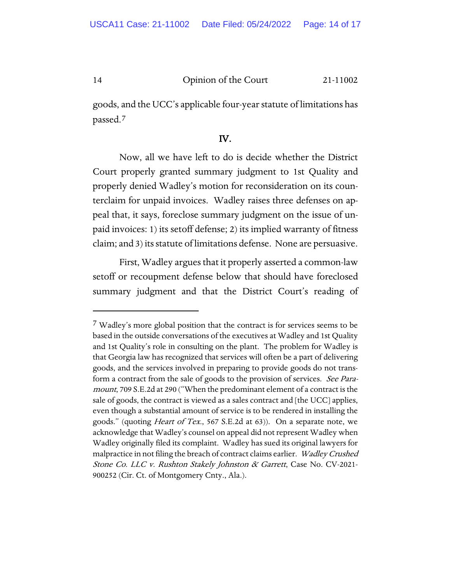goods, and the UCC's applicable four-year statute of limitations has passed.[7](#page-13-0)

### IV.

Now, all we have left to do is decide whether the District Court properly granted summary judgment to 1st Quality and properly denied Wadley's motion for reconsideration on its counterclaim for unpaid invoices. Wadley raises three defenses on appeal that, it says, foreclose summary judgment on the issue of unpaid invoices: 1) its setoff defense; 2) its implied warranty of fitness claim; and 3) its statute of limitations defense. None are persuasive.

First, Wadley argues that it properly asserted a common-law setoff or recoupment defense below that should have foreclosed summary judgment and that the District Court's reading of

<span id="page-13-0"></span><sup>&</sup>lt;sup>7</sup> Wadley's more global position that the contract is for services seems to be based in the outside conversations of the executives at Wadley and 1st Quality and 1st Quality's role in consulting on the plant. The problem for Wadley is that Georgia law has recognized that services will often be a part of delivering goods, and the services involved in preparing to provide goods do not transform a contract from the sale of goods to the provision of services. See Paramount, 709 S.E.2d at 290 ("When the predominant element of a contract is the sale of goods, the contract is viewed as a sales contract and [the UCC] applies, even though a substantial amount of service is to be rendered in installing the goods." (quoting *Heart of Tex.*, 567 S.E.2d at 63)). On a separate note, we acknowledge that Wadley's counsel on appeal did not represent Wadley when Wadley originally filed its complaint. Wadley has sued its original lawyers for malpractice in not filing the breach of contract claims earlier. Wadley Crushed Stone Co. LLC v. Rushton Stakely Johnston & Garrett, Case No. CV-2021-900252 (Cir. Ct. of Montgomery Cnty., Ala.).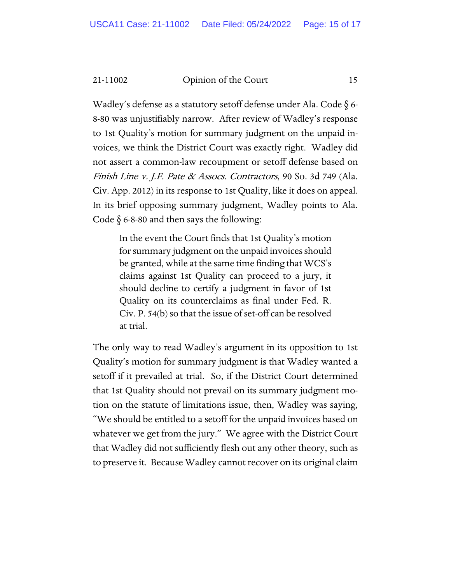Wadley's defense as a statutory setoff defense under Ala. Code § 6- 8-80 was unjustifiably narrow. After review of Wadley's response to 1st Quality's motion for summary judgment on the unpaid invoices, we think the District Court was exactly right. Wadley did not assert a common-law recoupment or setoff defense based on Finish Line v. J.F. Pate & Assocs. Contractors, 90 So. 3d 749 (Ala. Civ. App. 2012) in its response to 1st Quality, like it does on appeal. In its brief opposing summary judgment, Wadley points to Ala. Code  $\S$  6-8-80 and then says the following:

In the event the Court finds that 1st Quality's motion for summary judgment on the unpaid invoices should be granted, while at the same time finding that WCS's claims against 1st Quality can proceed to a jury, it should decline to certify a judgment in favor of 1st Quality on its counterclaims as final under Fed. R. Civ. P. 54(b) so that the issue of set-off can be resolved at trial.

The only way to read Wadley's argument in its opposition to 1st Quality's motion for summary judgment is that Wadley wanted a setoff if it prevailed at trial. So, if the District Court determined that 1st Quality should not prevail on its summary judgment motion on the statute of limitations issue, then, Wadley was saying, "We should be entitled to a setoff for the unpaid invoices based on whatever we get from the jury." We agree with the District Court that Wadley did not sufficiently flesh out any other theory, such as to preserve it. Because Wadley cannot recover on its original claim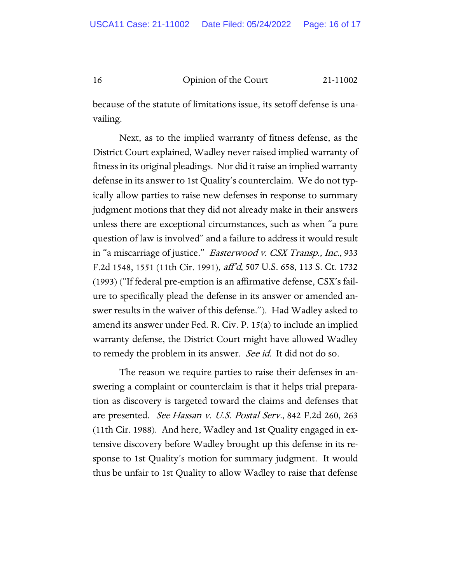because of the statute of limitations issue, its setoff defense is unavailing.

Next, as to the implied warranty of fitness defense, as the District Court explained, Wadley never raised implied warranty of fitness in its original pleadings. Nor did it raise an implied warranty defense in its answer to 1st Quality's counterclaim. We do not typically allow parties to raise new defenses in response to summary judgment motions that they did not already make in their answers unless there are exceptional circumstances, such as when "a pure question of law is involved" and a failure to address it would result in "a miscarriage of justice." Easterwood v. CSX Transp., Inc., 933 F.2d 1548, 1551 (11th Cir. 1991), aff'd, 507 U.S. 658, 113 S. Ct. 1732 (1993) ("If federal pre-emption is an affirmative defense, CSX's failure to specifically plead the defense in its answer or amended answer results in the waiver of this defense."). Had Wadley asked to amend its answer under Fed. R. Civ. P. 15(a) to include an implied warranty defense, the District Court might have allowed Wadley to remedy the problem in its answer. *See id.* It did not do so.

The reason we require parties to raise their defenses in answering a complaint or counterclaim is that it helps trial preparation as discovery is targeted toward the claims and defenses that are presented. See Hassan v. U.S. Postal Serv., 842 F.2d 260, 263 (11th Cir. 1988). And here, Wadley and 1st Quality engaged in extensive discovery before Wadley brought up this defense in its response to 1st Quality's motion for summary judgment. It would thus be unfair to 1st Quality to allow Wadley to raise that defense